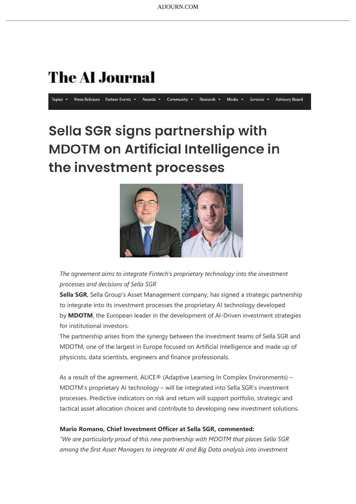## **The AI Journal**

Topics  $\sqrt{ }$ Press Releases Partner Events Awards Community v Research \* Media Services v **Advisory Board** 

## Sella SGR signs partnership with **MDOTM on Artificial Intelligence in** the investment processes



The agreement aims to integrate Fintech's proprietary technology into the investment processes and decisions of Sella SGR

Sella SGR, Sella Group's Asset Management company, has signed a strategic partnership to integrate into its investment processes the proprietary AI technology developed by MDOTM, the European leader in the development of AI-Driven investment strategies for institutional investors.

The partnership arises from the synergy between the investment teams of Sella SGR and MDOTM, one of the largest in Europe focused on Artificial Intelligence and made up of physicists, data scientists, engineers and finance professionals.

As a result of the agreement, ALICE® (Adaptive Learning In Complex Environments) – MDOTM's proprietary AI technology – will be integrated into Sella SGR's investment processes. Predictive indicators on risk and return will support portfolio, strategic and tactical asset allocation choices and contribute to developing new investment solutions.

## Mario Romano, Chief Investment Officer at Sella SGR, commented:

"We are particularly proud of this new partnership with MDOTM that places Sella SGR among the first Asset Managers to integrate AI and Big Data analysis into investment